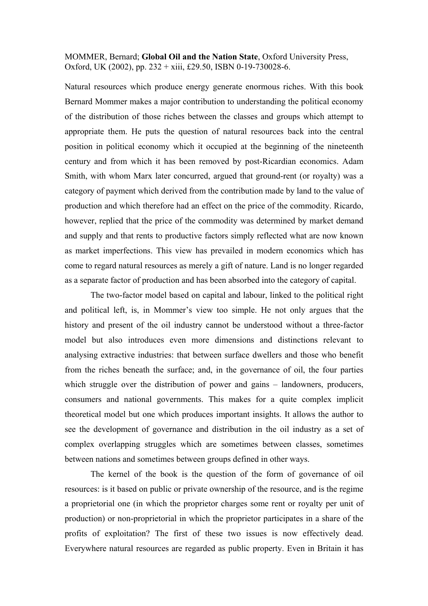MOMMER, Bernard; **Global Oil and the Nation State**, Oxford University Press, Oxford, UK (2002), pp. 232 + xiii, £29.50, ISBN 0-19-730028-6.

Natural resources which produce energy generate enormous riches. With this book Bernard Mommer makes a major contribution to understanding the political economy of the distribution of those riches between the classes and groups which attempt to appropriate them. He puts the question of natural resources back into the central position in political economy which it occupied at the beginning of the nineteenth century and from which it has been removed by post-Ricardian economics. Adam Smith, with whom Marx later concurred, argued that ground-rent (or royalty) was a category of payment which derived from the contribution made by land to the value of production and which therefore had an effect on the price of the commodity. Ricardo, however, replied that the price of the commodity was determined by market demand and supply and that rents to productive factors simply reflected what are now known as market imperfections. This view has prevailed in modern economics which has come to regard natural resources as merely a gift of nature. Land is no longer regarded as a separate factor of production and has been absorbed into the category of capital.

The two-factor model based on capital and labour, linked to the political right and political left, is, in Mommer's view too simple. He not only argues that the history and present of the oil industry cannot be understood without a three-factor model but also introduces even more dimensions and distinctions relevant to analysing extractive industries: that between surface dwellers and those who benefit from the riches beneath the surface; and, in the governance of oil, the four parties which struggle over the distribution of power and gains – landowners, producers, consumers and national governments. This makes for a quite complex implicit theoretical model but one which produces important insights. It allows the author to see the development of governance and distribution in the oil industry as a set of complex overlapping struggles which are sometimes between classes, sometimes between nations and sometimes between groups defined in other ways.

The kernel of the book is the question of the form of governance of oil resources: is it based on public or private ownership of the resource, and is the regime a proprietorial one (in which the proprietor charges some rent or royalty per unit of production) or non-proprietorial in which the proprietor participates in a share of the profits of exploitation? The first of these two issues is now effectively dead. Everywhere natural resources are regarded as public property. Even in Britain it has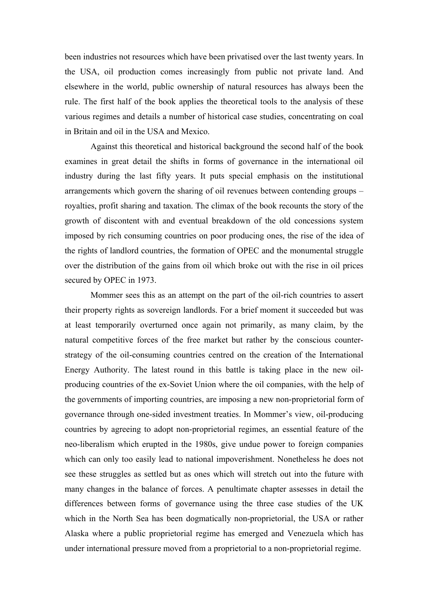been industries not resources which have been privatised over the last twenty years. In the USA, oil production comes increasingly from public not private land. And elsewhere in the world, public ownership of natural resources has always been the rule. The first half of the book applies the theoretical tools to the analysis of these various regimes and details a number of historical case studies, concentrating on coal in Britain and oil in the USA and Mexico.

Against this theoretical and historical background the second half of the book examines in great detail the shifts in forms of governance in the international oil industry during the last fifty years. It puts special emphasis on the institutional arrangements which govern the sharing of oil revenues between contending groups – royalties, profit sharing and taxation. The climax of the book recounts the story of the growth of discontent with and eventual breakdown of the old concessions system imposed by rich consuming countries on poor producing ones, the rise of the idea of the rights of landlord countries, the formation of OPEC and the monumental struggle over the distribution of the gains from oil which broke out with the rise in oil prices secured by OPEC in 1973.

 Mommer sees this as an attempt on the part of the oil-rich countries to assert their property rights as sovereign landlords. For a brief moment it succeeded but was at least temporarily overturned once again not primarily, as many claim, by the natural competitive forces of the free market but rather by the conscious counterstrategy of the oil-consuming countries centred on the creation of the International Energy Authority. The latest round in this battle is taking place in the new oilproducing countries of the ex-Soviet Union where the oil companies, with the help of the governments of importing countries, are imposing a new non-proprietorial form of governance through one-sided investment treaties. In Mommer's view, oil-producing countries by agreeing to adopt non-proprietorial regimes, an essential feature of the neo-liberalism which erupted in the 1980s, give undue power to foreign companies which can only too easily lead to national impoverishment. Nonetheless he does not see these struggles as settled but as ones which will stretch out into the future with many changes in the balance of forces. A penultimate chapter assesses in detail the differences between forms of governance using the three case studies of the UK which in the North Sea has been dogmatically non-proprietorial, the USA or rather Alaska where a public proprietorial regime has emerged and Venezuela which has under international pressure moved from a proprietorial to a non-proprietorial regime.